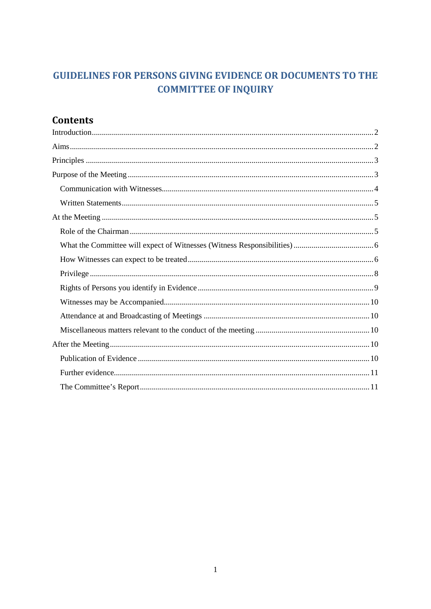# **GUIDELINES FOR PERSONS GIVING EVIDENCE OR DOCUMENTS TO THE COMMITTEE OF INQUIRY**

# **Contents**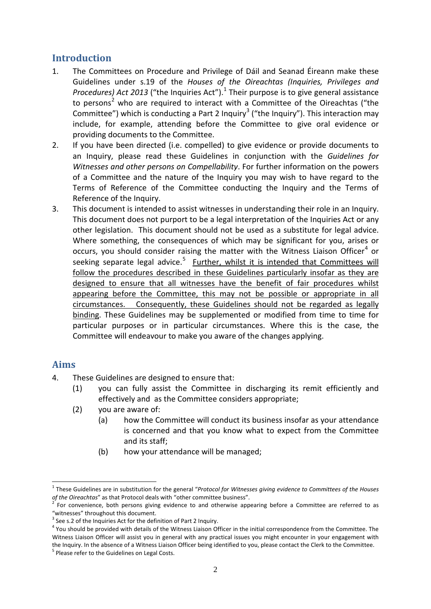# <span id="page-1-0"></span>**Introduction**

- 1. The Committees on Procedure and Privilege of Dáil and Seanad Éireann make these Guidelines under s.19 of the *Houses of the Oireachtas (Inquiries, Privileges and Procedures) Act 2013* ("the Inquiries Act"). [1](#page-1-2) Their purpose is to give general assistance to persons<sup>[2](#page-1-3)</sup> who are required to interact with a Committee of the Oireachtas ("the Committee") which is conducting a Part 2 Inquiry<sup>[3](#page-1-4)</sup> ("the Inquiry"). This interaction may include, for example, attending before the Committee to give oral evidence or providing documents to the Committee.
- 2. If you have been directed (i.e. compelled) to give evidence or provide documents to an Inquiry, please read these Guidelines in conjunction with the *Guidelines for Witnesses and other persons on Compellability*. For further information on the powers of a Committee and the nature of the Inquiry you may wish to have regard to the Terms of Reference of the Committee conducting the Inquiry and the Terms of Reference of the Inquiry.
- 3. This document is intended to assist witnesses in understanding their role in an Inquiry. This document does not purport to be a legal interpretation of the Inquiries Act or any other legislation. This document should not be used as a substitute for legal advice. Where something, the consequences of which may be significant for you, arises or occurs, you should consider raising the matter with the Witness Liaison Officer<sup>[4](#page-1-5)</sup> or seeking separate legal advice.<sup>[5](#page-1-6)</sup> Further, whilst it is intended that Committees will follow the procedures described in these Guidelines particularly insofar as they are designed to ensure that all witnesses have the benefit of fair procedures whilst appearing before the Committee, this may not be possible or appropriate in all circumstances. Consequently, these Guidelines should not be regarded as legally binding. These Guidelines may be supplemented or modified from time to time for particular purposes or in particular circumstances. Where this is the case, the Committee will endeavour to make you aware of the changes applying.

# <span id="page-1-1"></span>**Aims**

<u>.</u>

- 4. These Guidelines are designed to ensure that:
	- (1) you can fully assist the Committee in discharging its remit efficiently and effectively and as the Committee considers appropriate;
	- (2) you are aware of:
		- (a) how the Committee will conduct its business insofar as your attendance is concerned and that you know what to expect from the Committee and its staff;
		- (b) how your attendance will be managed;

<span id="page-1-2"></span><sup>1</sup> These Guidelines are in substitution for the general "*Protocol for Witnesses giving evidence to Committees of the Houses of the Oireachtas*" as that Protocol deals with "other committee business".<br><sup>2</sup> For convenience, both persons giving evidence to and otherwise appearing before a Committee are referred to as

<span id="page-1-3"></span><sup>&</sup>quot;witnesses" throughout this document.

<span id="page-1-4"></span><sup>&</sup>lt;sup>3</sup> See s.2 of the Inquiries Act for the definition of Part 2 Inquiry.

<span id="page-1-6"></span><span id="page-1-5"></span> $4$  You should be provided with details of the Witness Liaison Officer in the initial correspondence from the Committee. The Witness Liaison Officer will assist you in general with any practical issues you might encounter in your engagement with the Inquiry. In the absence of a Witness Liaison Officer being identified to you, please contact the Clerk to the Committee.<br><sup>5</sup> Please refer to the Guidelines on Legal Costs.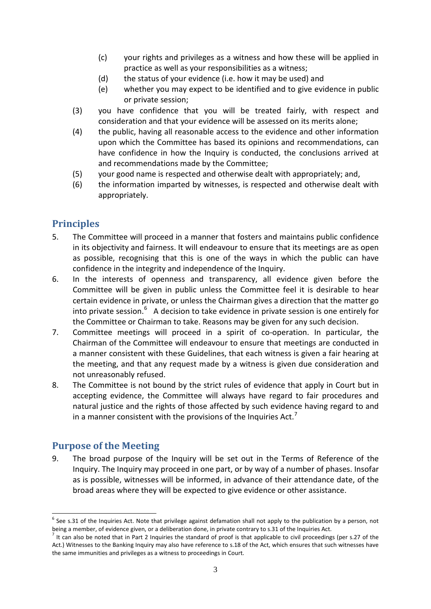- (c) your rights and privileges as a witness and how these will be applied in practice as well as your responsibilities as a witness;
- (d) the status of your evidence (i.e. how it may be used) and
- (e) whether you may expect to be identified and to give evidence in public or private session;
- (3) you have confidence that you will be treated fairly, with respect and consideration and that your evidence will be assessed on its merits alone;
- (4) the public, having all reasonable access to the evidence and other information upon which the Committee has based its opinions and recommendations, can have confidence in how the Inquiry is conducted, the conclusions arrived at and recommendations made by the Committee;
- (5) your good name is respected and otherwise dealt with appropriately; and,
- (6) the information imparted by witnesses, is respected and otherwise dealt with appropriately.

# <span id="page-2-0"></span>**Principles**

- 5. The Committee will proceed in a manner that fosters and maintains public confidence in its objectivity and fairness. It will endeavour to ensure that its meetings are as open as possible, recognising that this is one of the ways in which the public can have confidence in the integrity and independence of the Inquiry.
- 6. In the interests of openness and transparency, all evidence given before the Committee will be given in public unless the Committee feel it is desirable to hear certain evidence in private, or unless the Chairman gives a direction that the matter go into private session.<sup>[6](#page-2-2)</sup> A decision to take evidence in private session is one entirely for the Committee or Chairman to take. Reasons may be given for any such decision.
- 7. Committee meetings will proceed in a spirit of co-operation. In particular, the Chairman of the Committee will endeavour to ensure that meetings are conducted in a manner consistent with these Guidelines, that each witness is given a fair hearing at the meeting, and that any request made by a witness is given due consideration and not unreasonably refused.
- 8. The Committee is not bound by the strict rules of evidence that apply in Court but in accepting evidence, the Committee will always have regard to fair procedures and natural justice and the rights of those affected by such evidence having regard to and in a manner consistent with the provisions of the Inquiries Act.<sup>[7](#page-2-3)</sup>

# <span id="page-2-1"></span>**Purpose of the Meeting**

9. The broad purpose of the Inquiry will be set out in the Terms of Reference of the Inquiry. The Inquiry may proceed in one part, or by way of a number of phases. Insofar as is possible, witnesses will be informed, in advance of their attendance date, of the broad areas where they will be expected to give evidence or other assistance.

<span id="page-2-2"></span> $6$  See s.31 of the Inquiries Act. Note that privilege against defamation shall not apply to the publication by a person, not being a member, of evidence given, or a deliberation done, in private contrary to s.31 of the Inquiries Act.<br><sup>7</sup> It can also be noted that in Part 2 Inquiries the standard of proof is that applicable to civil proceedings -

<span id="page-2-3"></span>Act.) Witnesses to the Banking Inquiry may also have reference to s.18 of the Act, which ensures that such witnesses have the same immunities and privileges as a witness to proceedings in Court.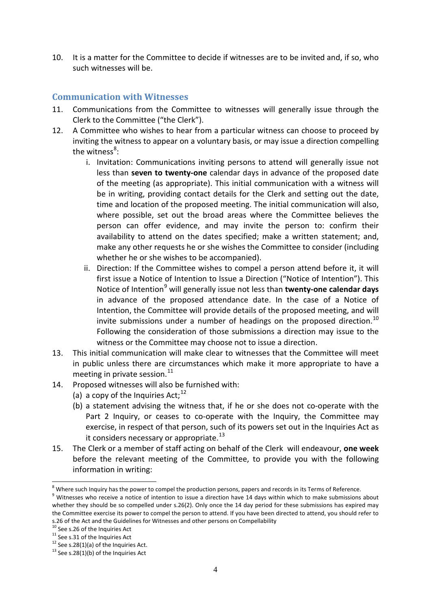10. It is a matter for the Committee to decide if witnesses are to be invited and, if so, who such witnesses will be.

# <span id="page-3-0"></span>**Communication with Witnesses**

- 11. Communications from the Committee to witnesses will generally issue through the Clerk to the Committee ("the Clerk").
- 12. A Committee who wishes to hear from a particular witness can choose to proceed by inviting the witness to appear on a voluntary basis, or may issue a direction compelling the witness<sup>[8](#page-3-1)</sup>:
	- i. Invitation: Communications inviting persons to attend will generally issue not less than **seven to twenty-one** calendar days in advance of the proposed date of the meeting (as appropriate). This initial communication with a witness will be in writing, providing contact details for the Clerk and setting out the date, time and location of the proposed meeting. The initial communication will also, where possible, set out the broad areas where the Committee believes the person can offer evidence, and may invite the person to: confirm their availability to attend on the dates specified; make a written statement; and, make any other requests he or she wishes the Committee to consider (including whether he or she wishes to be accompanied).
	- ii. Direction: If the Committee wishes to compel a person attend before it, it will first issue a Notice of Intention to Issue a Direction ("Notice of Intention"). This Notice of Intention[9](#page-3-2) will generally issue not less than **twenty-one calendar days** in advance of the proposed attendance date. In the case of a Notice of Intention, the Committee will provide details of the proposed meeting, and will invite submissions under a number of headings on the proposed direction.<sup>[10](#page-3-3)</sup> Following the consideration of those submissions a direction may issue to the witness or the Committee may choose not to issue a direction.
- 13. This initial communication will make clear to witnesses that the Committee will meet in public unless there are circumstances which make it more appropriate to have a meeting in private session. $11$
- 14. Proposed witnesses will also be furnished with:
	- (a) a copy of the Inquiries Act;  $12$
	- (b) a statement advising the witness that, if he or she does not co-operate with the Part 2 Inquiry, or ceases to co-operate with the Inquiry, the Committee may exercise, in respect of that person, such of its powers set out in the Inquiries Act as it considers necessary or appropriate.<sup>[13](#page-3-6)</sup>
- 15. The Clerk or a member of staff acting on behalf of the Clerk will endeavour, **one week** before the relevant meeting of the Committee, to provide you with the following information in writing:

<u>.</u>

<span id="page-3-2"></span><span id="page-3-1"></span>

 $^8$  Where such Inquiry has the power to compel the production persons, papers and records in its Terms of Reference.<br> $^9$  Witnesses who receive a notice of intention to issue a direction have 14 days within which to make whether they should be so compelled under s.26(2). Only once the 14 day period for these submissions has expired may the Committee exercise its power to compel the person to attend. If you have been directed to attend, you should refer to s.26 of the Act and the Guidelines for Witnesses and other persons on Compellability<br><sup>10</sup> See s.26 of the Inquiries Act<br><sup>11</sup> See s.31 of the Inquiries Act<br><sup>12</sup> See s.28(1)(a) of the Inquiries Act.<br><sup>13</sup> See s.28(1)(b) of t

<span id="page-3-3"></span>

<span id="page-3-4"></span>

<span id="page-3-5"></span>

<span id="page-3-6"></span>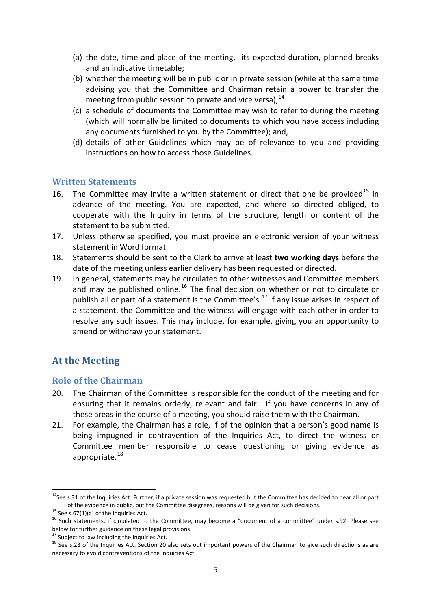- (a) the date, time and place of the meeting, its expected duration, planned breaks and an indicative timetable;
- (b) whether the meeting will be in public or in private session (while at the same time advising you that the Committee and Chairman retain a power to transfer the meeting from public session to private and vice versa): $^{14}$  $^{14}$  $^{14}$
- (c) a schedule of documents the Committee may wish to refer to during the meeting (which will normally be limited to documents to which you have access including any documents furnished to you by the Committee); and,
- (d) details of other Guidelines which may be of relevance to you and providing instructions on how to access those Guidelines.

#### <span id="page-4-0"></span>**Written Statements**

- 16. The Committee may invite a written statement or direct that one be provided<sup>[15](#page-4-4)</sup> in advance of the meeting. You are expected, and where so directed obliged, to cooperate with the Inquiry in terms of the structure, length or content of the statement to be submitted.
- 17. Unless otherwise specified, you must provide an electronic version of your witness statement in Word format.
- 18. Statements should be sent to the Clerk to arrive at least **two working days** before the date of the meeting unless earlier delivery has been requested or directed.
- 19. In general, statements may be circulated to other witnesses and Committee members and may be published online.<sup>[16](#page-4-5)</sup> The final decision on whether or not to circulate or publish all or part of a statement is the Committee's.<sup>[17](#page-4-6)</sup> If any issue arises in respect of a statement, the Committee and the witness will engage with each other in order to resolve any such issues. This may include, for example, giving you an opportunity to amend or withdraw your statement.

# <span id="page-4-1"></span>**At the Meeting**

#### <span id="page-4-2"></span>**Role of the Chairman**

- 20. The Chairman of the Committee is responsible for the conduct of the meeting and for ensuring that it remains orderly, relevant and fair. If you have concerns in any of these areas in the course of a meeting, you should raise them with the Chairman.
- 21. For example, the Chairman has a role, if of the opinion that a person's good name is being impugned in contravention of the Inquiries Act, to direct the witness or Committee member responsible to cease questioning or giving evidence as appropriate.<sup>[18](#page-4-7)</sup>

-

<span id="page-4-3"></span> $14$ See s.31 of the Inquiries Act. Further, if a private session was requested but the Committee has decided to hear all or part of the evidence in public, but the Committee disagrees, reasons will be given for such decisions.<br><sup>15</sup> See s.67(1)(a) of the Inquiries Act.<br><sup>16</sup> Such statements, if circulated to the Committee, may become a "document of a

<span id="page-4-4"></span>

<span id="page-4-7"></span>

<span id="page-4-6"></span><span id="page-4-5"></span>below for further guidance on these legal provisions.<br><sup>17</sup> Subject to law including the Inquiries Act.<br><sup>18</sup> See s.23 of the Inquiries Act. Section 20 also sets out important powers of the Chairman to give such directions necessary to avoid contraventions of the Inquiries Act.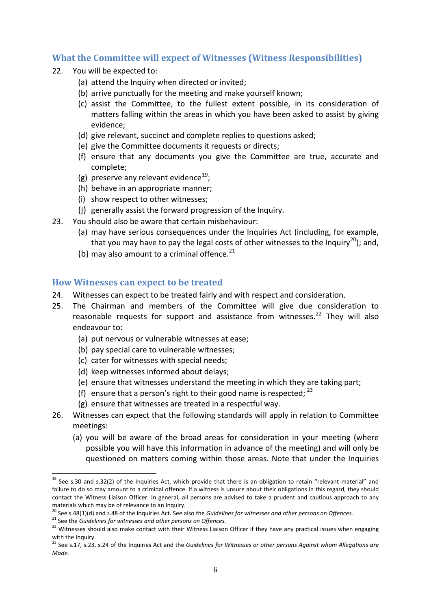### <span id="page-5-0"></span>**What the Committee will expect of Witnesses (Witness Responsibilities)**

- 22. You will be expected to:
	- (a) attend the Inquiry when directed or invited;
	- (b) arrive punctually for the meeting and make yourself known;
	- (c) assist the Committee, to the fullest extent possible, in its consideration of matters falling within the areas in which you have been asked to assist by giving evidence;
	- (d) give relevant, succinct and complete replies to questions asked;
	- (e) give the Committee documents it requests or directs;
	- (f) ensure that any documents you give the Committee are true, accurate and complete;
	- (g) preserve any relevant evidence $^{19}$  $^{19}$  $^{19}$ ;
	- (h) behave in an appropriate manner;
	- (i) show respect to other witnesses;
	- (j) generally assist the forward progression of the Inquiry.
- 23. You should also be aware that certain misbehaviour:
	- (a) may have serious consequences under the Inquiries Act (including, for example, that you may have to pay the legal costs of other witnesses to the Inquiry<sup>[20](#page-5-3)</sup>); and,
	- (b) may also amount to a criminal offence.<sup>[21](#page-5-4)</sup>

#### <span id="page-5-1"></span>**How Witnesses can expect to be treated**

- 24. Witnesses can expect to be treated fairly and with respect and consideration.
- 25. The Chairman and members of the Committee will give due consideration to reasonable requests for support and assistance from witnesses.<sup>[22](#page-5-5)</sup> They will also endeavour to:
	- (a) put nervous or vulnerable witnesses at ease;
	- (b) pay special care to vulnerable witnesses;
	- (c) cater for witnesses with special needs;
	- (d) keep witnesses informed about delays;
	- (e) ensure that witnesses understand the meeting in which they are taking part;
	- (f) ensure that a person's right to their good name is respected;  $^{23}$  $^{23}$  $^{23}$
	- (g) ensure that witnesses are treated in a respectful way.
- 26. Witnesses can expect that the following standards will apply in relation to Committee meetings:
	- (a) you will be aware of the broad areas for consideration in your meeting (where possible you will have this information in advance of the meeting) and will only be questioned on matters coming within those areas. Note that under the Inquiries

<span id="page-5-2"></span><sup>&</sup>lt;sup>19</sup> See s.30 and s.32(2) of the Inquiries Act, which provide that there is an obligation to retain "relevant material" and failure to do so may amount to a criminal offence. If a witness is unsure about their obligations in this regard, they should contact the Witness Liaison Officer. In general, all persons are advised to take a prudent and cautious approach to any <u>.</u>

materials which may be of relevance to an Inquiry.<br>
<sup>20</sup> See s.48(1)(d) and s.48 of the Inquiries Act. See also the *Guidelines for witnesses and other persons on Offences.* 

<span id="page-5-5"></span><span id="page-5-4"></span><span id="page-5-3"></span> $^{21}$  See the *Guidelines for witnesses and other persons on Offences.*<br><sup>22</sup> Witnesses should also make contact with their Witness Liaison Officer if they have any practical issues when engaging with the Inquiry.

<span id="page-5-6"></span><sup>23</sup> See s.17, s.23, s.24 of the Inquiries Act and the *Guidelines for Witnesses or other persons Against whom Allegations are Made.*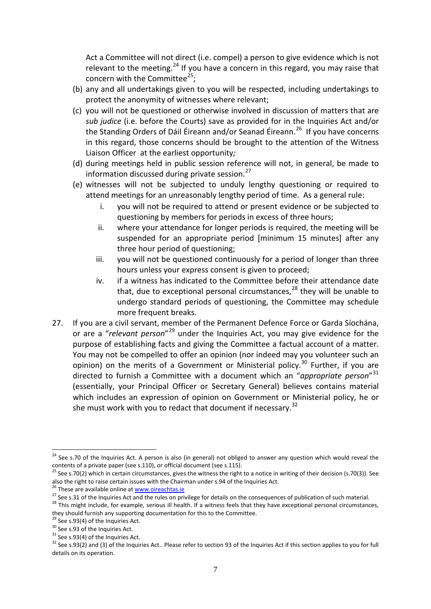Act a Committee will not direct (i.e. compel) a person to give evidence which is not relevant to the meeting.<sup>[24](#page-6-0)</sup> If you have a concern in this regard, you may raise that concern with the Committee<sup>[25](#page-6-1)</sup>;

- (b) any and all undertakings given to you will be respected, including undertakings to protect the anonymity of witnesses where relevant;
- (c) you will not be questioned or otherwise involved in discussion of matters that are *sub judice* (i.e. before the Courts) save as provided for in the Inquiries Act and/or the Standing Orders of Dáil Éireann and/or Seanad Éireann.<sup>[26](#page-6-2)</sup> If you have concerns in this regard, those concerns should be brought to the attention of the Witness Liaison Officer at the earliest opportunity*;*
- (d) during meetings held in public session reference will not, in general, be made to information discussed during private session.<sup>[27](#page-6-3)</sup>
- (e) witnesses will not be subjected to unduly lengthy questioning or required to attend meetings for an unreasonably lengthy period of time. As a general rule:
	- i. you will not be required to attend or present evidence or be subjected to questioning by members for periods in excess of three hours;
	- ii. where your attendance for longer periods is required, the meeting will be suspended for an appropriate period [minimum 15 minutes] after any three hour period of questioning;
	- iii. you will not be questioned continuously for a period of longer than three hours unless your express consent is given to proceed;
	- iv. if a witness has indicated to the Committee before their attendance date that, due to exceptional personal circumstances,  $28$  they will be unable to undergo standard periods of questioning, the Committee may schedule more frequent breaks.
- 27. If you are a civil servant, member of the Permanent Defence Force or Garda Síochána, or are a "*relevant person*"[29](#page-6-5) under the Inquiries Act, you may give evidence for the purpose of establishing facts and giving the Committee a factual account of a matter. You may not be compelled to offer an opinion (nor indeed may you volunteer such an opinion) on the merits of a Government or Ministerial policy.<sup>[30](#page-6-6)</sup> Further, if you are directed to furnish a Committee with a document which an "*appropriate person*" [31](#page-6-7) (essentially, your Principal Officer or Secretary General) believes contains material which includes an expression of opinion on Government or Ministerial policy, he or she must work with you to redact that document if necessary.<sup>[32](#page-6-8)</sup>

<span id="page-6-0"></span> $24$  See s.70 of the Inquiries Act. A person is also (in general) not obliged to answer any question which would reveal the contents of a private paper (see s.110), or official document (see s.115). <u>.</u>

<span id="page-6-1"></span><sup>25</sup> See s.70(2) which in certain circumstances, gives the witness the right to a notice in writing of their decision (s.70(3)). See also the right to raise certain issues with the Chairman under s.94 of the Inquiries Act.

<span id="page-6-2"></span><sup>&</sup>lt;sup>26</sup> These are available online at <u>www.oireachtas.ie</u><br><sup>27</sup> See s.31 of the Inquiries Act and the rules on privilege for details on the consequences of publication of such material.<br><sup>27</sup> See s.31 of the Inquiries Act and t

<span id="page-6-4"></span><span id="page-6-3"></span>they should furnish any supporting documentation for this to the Committee.<br><sup>29</sup> See s.93(4) of the Inquiries Act.<br><sup>30</sup> See s.93 of the Inquiries Act.<br><sup>32</sup> See s.93(4) of the Inquiries Act.<br><sup>32</sup> See s.93(2) and (3) of the

<span id="page-6-5"></span>

<span id="page-6-6"></span>

<span id="page-6-8"></span><span id="page-6-7"></span>details on its operation.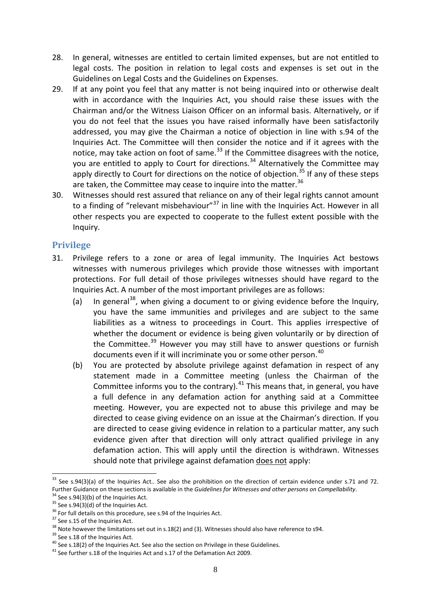- 28. In general, witnesses are entitled to certain limited expenses, but are not entitled to legal costs. The position in relation to legal costs and expenses is set out in the Guidelines on Legal Costs and the Guidelines on Expenses.
- 29. If at any point you feel that any matter is not being inquired into or otherwise dealt with in accordance with the Inquiries Act, you should raise these issues with the Chairman and/or the Witness Liaison Officer on an informal basis. Alternatively, or if you do not feel that the issues you have raised informally have been satisfactorily addressed, you may give the Chairman a notice of objection in line with s.94 of the Inquiries Act. The Committee will then consider the notice and if it agrees with the notice, may take action on foot of same. $33$  If the Committee disagrees with the notice, you are entitled to apply to Court for directions.<sup>[34](#page-7-2)</sup> Alternatively the Committee may apply directly to Court for directions on the notice of objection.<sup>[35](#page-7-3)</sup> If any of these steps are taken, the Committee may cease to inquire into the matter. $36$
- 30. Witnesses should rest assured that reliance on any of their legal rights cannot amount to a finding of "relevant misbehaviour" $37$  in line with the Inquiries Act. However in all other respects you are expected to cooperate to the fullest extent possible with the Inquiry.

# <span id="page-7-0"></span>**Privilege**

- 31. Privilege refers to a zone or area of legal immunity. The Inquiries Act bestows witnesses with numerous privileges which provide those witnesses with important protections. For full detail of those privileges witnesses should have regard to the Inquiries Act. A number of the most important privileges are as follows:
	- (a) In general<sup>[38](#page-7-6)</sup>, when giving a document to or giving evidence before the Inquiry, you have the same immunities and privileges and are subject to the same liabilities as a witness to proceedings in Court. This applies irrespective of whether the document or evidence is being given voluntarily or by direction of the Committee.<sup>[39](#page-7-7)</sup> However you may still have to answer questions or furnish documents even if it will incriminate you or some other person.<sup>[40](#page-7-8)</sup>
	- (b) You are protected by absolute privilege against defamation in respect of any statement made in a Committee meeting (unless the Chairman of the Committee informs you to the contrary).<sup>[41](#page-7-9)</sup> This means that, in general, you have a full defence in any defamation action for anything said at a Committee meeting. However, you are expected not to abuse this privilege and may be directed to cease giving evidence on an issue at the Chairman's direction. If you are directed to cease giving evidence in relation to a particular matter, any such evidence given after that direction will only attract qualified privilege in any defamation action. This will apply until the direction is withdrawn. Witnesses should note that privilege against defamation does not apply:

<span id="page-7-1"></span><sup>&</sup>lt;sup>33</sup> See s.94(3)(a) of the Inquiries Act.. See also the prohibition on the direction of certain evidence under s.71 and 72. Further Guidance on these sections is available in the *Guidelines for Witnesses and other persons on Compellability*.<br><sup>34</sup> See s.94(3)(b) of the Inquiries Act.<br><sup>35</sup> See s.94(3)(d) of the Inquiries Act.<br><sup>35</sup> See s.94(3)(d <u>.</u>

<span id="page-7-2"></span>

<span id="page-7-3"></span>

<span id="page-7-4"></span>

<span id="page-7-5"></span>

<span id="page-7-6"></span>

<span id="page-7-7"></span>

<span id="page-7-8"></span>

<span id="page-7-9"></span>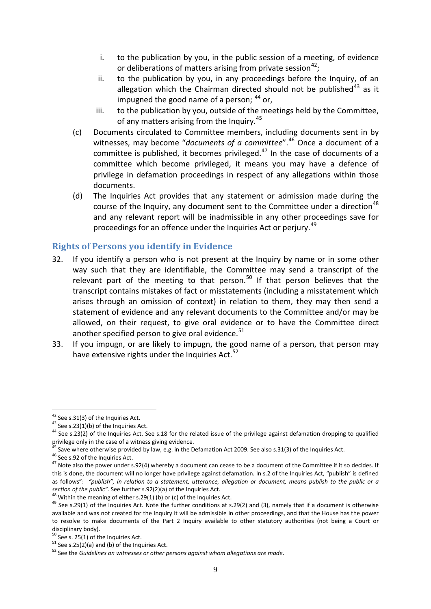- i. to the publication by you, in the public session of a meeting, of evidence or deliberations of matters arising from private session<sup>[42](#page-8-1)</sup>;
- ii. to the publication by you, in any proceedings before the Inquiry, of an allegation which the Chairman directed should not be published $43$  as it impugned the good name of a person;  $44$  or,
- iii. to the publication by you, outside of the meetings held by the Committee, of any matters arising from the Inquiry.<sup>[45](#page-8-4)</sup>
- (c) Documents circulated to Committee members, including documents sent in by witnesses, may become "*documents of a committee*".[46](#page-8-5) Once a document of a committee is published, it becomes privileged. $47$  In the case of documents of a committee which become privileged, it means you may have a defence of privilege in defamation proceedings in respect of any allegations within those documents.
- (d) The Inquiries Act provides that any statement or admission made during the course of the Inquiry, any document sent to the Committee under a direction<sup>[48](#page-8-7)</sup> and any relevant report will be inadmissible in any other proceedings save for proceedings for an offence under the Inquiries Act or perjury.<sup>[49](#page-8-8)</sup>

# <span id="page-8-0"></span>**Rights of Persons you identify in Evidence**

- 32. If you identify a person who is not present at the Inquiry by name or in some other way such that they are identifiable, the Committee may send a transcript of the relevant part of the meeting to that person.<sup>[50](#page-8-9)</sup> If that person believes that the transcript contains mistakes of fact or misstatements (including a misstatement which arises through an omission of context) in relation to them, they may then send a statement of evidence and any relevant documents to the Committee and/or may be allowed, on their request, to give oral evidence or to have the Committee direct another specified person to give oral evidence. $51$
- 33. If you impugn, or are likely to impugn, the good name of a person, that person may have extensive rights under the Inquiries Act. $52$

<span id="page-8-1"></span><sup>&</sup>lt;sup>42</sup> See s.31(3) of the Inquiries Act.

<span id="page-8-3"></span><span id="page-8-2"></span><sup>&</sup>lt;sup>43</sup> See s.23(1)(b) of the Inquiries Act.<br><sup>44</sup> See s.23(2) of the Inquiries Act. See s.18 for the related issue of the privilege against defamation dropping to qualified privilege only in the case of a witness giving evidence.<br><sup>45</sup> Save where otherwise provided by law, e.g. in the Defamation Act 2009. See also s.31(3) of the Inquiries Act.<br><sup>45</sup> See s.92 of the Inquiries Act.<br><sup>47</sup> Note also

<span id="page-8-4"></span>

<span id="page-8-6"></span><span id="page-8-5"></span>this is done, the document will no longer have privilege against defamation. In s.2 of the Inquiries Act, "publish" is defined as follows": *"publish", in relation to a statement, utterance, allegation or document, means publish to the public or a*  section of the public". See further s.92(2)(a) of the Inquiries Act.<br><sup>48</sup> Within the meaning of either s.29(1) (b) or (c) of the Inquiries Act.<br><sup>49</sup> See s.29(1) of the Inquiries Act. Note the further conditions at s.29(2)

<span id="page-8-7"></span>

<span id="page-8-8"></span>available and was not created for the Inquiry it will be admissible in other proceedings, and that the House has the power to resolve to make documents of the Part 2 Inquiry available to other statutory authorities (not being a Court or disciplinary body).<br> $50$  See s. 25(1) of the Inquiries Act.

<span id="page-8-11"></span><span id="page-8-10"></span><span id="page-8-9"></span><sup>&</sup>lt;sup>51</sup> See s. 25(2)(a) and (b) of the Inquiries Act.<br><sup>52</sup> See the *Guidelines on witnesses or other persons against whom allegations are made.*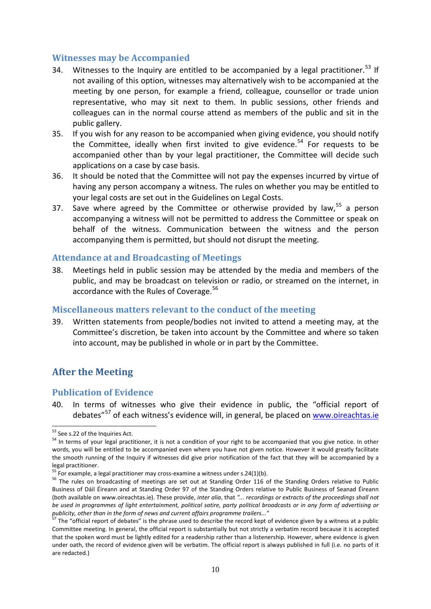#### <span id="page-9-0"></span>**Witnesses may be Accompanied**

- 34. Witnesses to the Inquiry are entitled to be accompanied by a legal practitioner.<sup>[53](#page-9-5)</sup> If not availing of this option, witnesses may alternatively wish to be accompanied at the meeting by one person, for example a friend, colleague, counsellor or trade union representative, who may sit next to them. In public sessions, other friends and colleagues can in the normal course attend as members of the public and sit in the public gallery.
- 35. If you wish for any reason to be accompanied when giving evidence, you should notify the Committee, ideally when first invited to give evidence.<sup>[54](#page-9-6)</sup> For requests to be accompanied other than by your legal practitioner, the Committee will decide such applications on a case by case basis.
- 36. It should be noted that the Committee will not pay the expenses incurred by virtue of having any person accompany a witness. The rules on whether you may be entitled to your legal costs are set out in the Guidelines on Legal Costs.
- 37. Save where agreed by the Committee or otherwise provided by law,<sup>[55](#page-9-7)</sup> a person accompanying a witness will not be permitted to address the Committee or speak on behalf of the witness. Communication between the witness and the person accompanying them is permitted, but should not disrupt the meeting.

#### <span id="page-9-1"></span>**Attendance at and Broadcasting of Meetings**

38. Meetings held in public session may be attended by the media and members of the public, and may be broadcast on television or radio, or streamed on the internet, in accordance with the Rules of Coverage. [56](#page-9-8)

#### <span id="page-9-2"></span>**Miscellaneous matters relevant to the conduct of the meeting**

39. Written statements from people/bodies not invited to attend a meeting may, at the Committee's discretion, be taken into account by the Committee and where so taken into account, may be published in whole or in part by the Committee.

# <span id="page-9-3"></span>**After the Meeting**

#### <span id="page-9-4"></span>**Publication of Evidence**

40. In terms of witnesses who give their evidence in public, the "official report of debates"[57](#page-9-9) of each witness's evidence will, in general, be placed on [www.oireachtas.ie](http://www.oireachtas.ie/)

<span id="page-9-5"></span><sup>53</sup> See s.22 of the Inquiries Act.

<span id="page-9-6"></span><sup>&</sup>lt;sup>54</sup> In terms of your legal practitioner, it is not a condition of your right to be accompanied that you give notice. In other words, you will be entitled to be accompanied even where you have not given notice. However it would greatly facilitate the smooth running of the Inquiry if witnesses did give prior notification of the fact that they will be accompanied by a legal practitioner.<br><sup>55</sup> For example, a legal practitioner may cross-examine a witness under s.24(1)(b).

<span id="page-9-8"></span><span id="page-9-7"></span><sup>56</sup> The rules on broadcasting of meetings are set out at Standing Order 116 of the Standing Orders relative to Public Business of Dáil Éireann and at Standing Order 97 of the Standing Orders relative to Public Business of Seanad Éireann (both available on www.oireachtas.ie). These provide, *inter alia*, that *"... recordings or extracts of the proceedings shall not be used in programmes of light entertainment, political satire, party political broadcasts or in any form of advertising or publicity, other than in the form of news and current affairs programme trailers..."* <sup>57</sup> The "official report of debates" is the phrase used to describe the record kept of evidence given by a witness at a public

<span id="page-9-9"></span>Committee meeting. In general, the official report is substantially but not strictly a verbatim record because it is accepted that the spoken word must be lightly edited for a readership rather than a listenership. However, where evidence is given under oath, the record of evidence given will be verbatim. The official report is always published in full (i.e. no parts of it are redacted.)